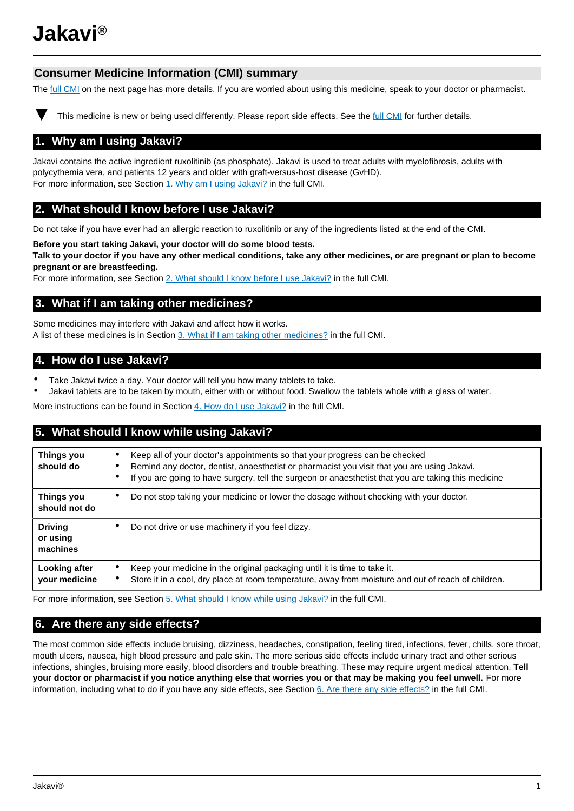# **Jakavi®**

## **Consumer Medicine Information (CMI) summary**

The [full CMI](#page-0-0) on the next page has more details. If you are worried about using this medicine, speak to your doctor or pharmacist.

This medicine is new or being used differently. Please report side effects. See the [full CMI](#page-0-0) for further details.

## **1. Why am I using Jakavi?**

Jakavi contains the active ingredient ruxolitinib (as phosphate). Jakavi is used to treat adults with myelofibrosis, adults with polycythemia vera, and patients 12 years and older with graft-versus-host disease (GvHD). For more information, see Section [1. Why am I using Jakavi?](#page-1-0) in the full CMI.

## **2. What should I know before I use Jakavi?**

Do not take if you have ever had an allergic reaction to ruxolitinib or any of the ingredients listed at the end of the CMI.

**Before you start taking Jakavi, your doctor will do some blood tests. Talk to your doctor if you have any other medical conditions, take any other medicines, or are pregnant or plan to become pregnant or are breastfeeding.** 

For more information, see Section [2. What should I know before I use Jakavi?](#page-1-1) in the full CMI.

## **3. What if I am taking other medicines?**

Some medicines may interfere with Jakavi and affect how it works. A list of these medicines is in Section [3. What if I am taking other medicines?](#page-2-0) in the full CMI.

## **4. How do I use Jakavi?**

- Take Jakavi twice a day. Your doctor will tell you how many tablets to take.
- Jakavi tablets are to be taken by mouth, either with or without food. Swallow the tablets whole with a glass of water.

More instructions can be found in Section [4. How do I use Jakavi?](#page-2-1) in the full CMI.

## **5. What should I know while using Jakavi?**

| <b>Things you</b><br>should do         | Keep all of your doctor's appointments so that your progress can be checked<br>$\bullet$<br>Remind any doctor, dentist, anaesthetist or pharmacist you visit that you are using Jakavi.<br>٠<br>If you are going to have surgery, tell the surgeon or anaesthetist that you are taking this medicine |
|----------------------------------------|------------------------------------------------------------------------------------------------------------------------------------------------------------------------------------------------------------------------------------------------------------------------------------------------------|
| Things you<br>should not do            | Do not stop taking your medicine or lower the dosage without checking with your doctor.<br>$\bullet$                                                                                                                                                                                                 |
| <b>Driving</b><br>or using<br>machines | Do not drive or use machinery if you feel dizzy.<br>٠                                                                                                                                                                                                                                                |
| Looking after<br>your medicine         | Keep your medicine in the original packaging until it is time to take it.<br>٠<br>Store it in a cool, dry place at room temperature, away from moisture and out of reach of children.<br>٠                                                                                                           |

For more information, see Section [5. What should I know while using Jakavi?](#page-2-2) in the full CMI.

## <span id="page-0-0"></span>**6. Are there any side effects?**

The most common side effects include bruising, dizziness, headaches, constipation, feeling tired, infections, fever, chills, sore throat, mouth ulcers, nausea, high blood pressure and pale skin. The more serious side effects include urinary tract and other serious infections, shingles, bruising more easily, blood disorders and trouble breathing. These may require urgent medical attention. **Tell your doctor or pharmacist if you notice anything else that worries you or that may be making you feel unwell.** For more information, including what to do if you have any side effects, see Section [6. Are there any side effects?](#page-3-0) in the full CMI.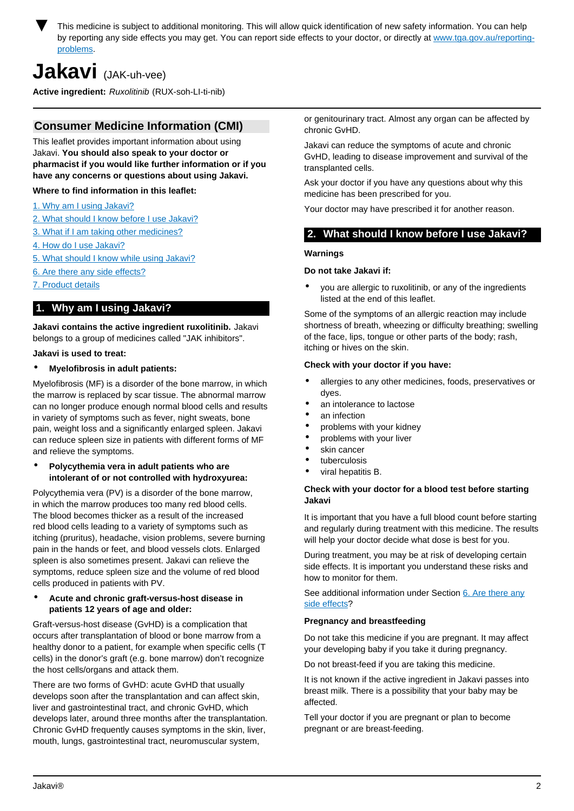

This medicine is subject to additional monitoring. This will allow quick identification of new safety information. You can help by reporting any side effects you may get. You can report side effects to your doctor, or directly at [www.tga.gov.au/reporting](http://www.tga.gov.au/reporting-problems)[problems.](http://www.tga.gov.au/reporting-problems)

## **Jakavi** (JAK-uh-vee)

**Active ingredient:** Ruxolitinib (RUX-soh-LI-ti-nib)

## **Consumer Medicine Information (CMI)**

This leaflet provides important information about using Jakavi. **You should also speak to your doctor or pharmacist if you would like further information or if you have any concerns or questions about using Jakavi.**

#### **Where to find information in this leaflet:**

- [1. Why am I using Jakavi?](#page-1-0)
- [2. What should I know before I use Jakavi?](#page-1-1)
- [3. What if I am taking other medicines?](#page-2-0)
- [4. How do I use Jakavi?](#page-2-1)
- [5. What should I know while using Jakavi?](#page-2-2)
- [6. Are there any side effects?](#page-3-0)
- [7. Product details](#page-4-0)

## <span id="page-1-0"></span>**1. Why am I using Jakavi?**

**Jakavi contains the active ingredient ruxolitinib.** Jakavi belongs to a group of medicines called "JAK inhibitors".

#### **Jakavi is used to treat:**

#### • **Myelofibrosis in adult patients:**

Myelofibrosis (MF) is a disorder of the bone marrow, in which the marrow is replaced by scar tissue. The abnormal marrow can no longer produce enough normal blood cells and results in variety of symptoms such as fever, night sweats, bone pain, weight loss and a significantly enlarged spleen. Jakavi can reduce spleen size in patients with different forms of MF and relieve the symptoms.

#### • **Polycythemia vera in adult patients who are intolerant of or not controlled with hydroxyurea:**

Polycythemia vera (PV) is a disorder of the bone marrow, in which the marrow produces too many red blood cells. The blood becomes thicker as a result of the increased red blood cells leading to a variety of symptoms such as itching (pruritus), headache, vision problems, severe burning pain in the hands or feet, and blood vessels clots. Enlarged spleen is also sometimes present. Jakavi can relieve the symptoms, reduce spleen size and the volume of red blood cells produced in patients with PV.

#### • **Acute and chronic graft-versus-host disease in patients 12 years of age and older:**

Graft-versus-host disease (GvHD) is a complication that occurs after transplantation of blood or bone marrow from a healthy donor to a patient, for example when specific cells (T cells) in the donor's graft (e.g. bone marrow) don't recognize the host cells/organs and attack them.

There are two forms of GvHD: acute GvHD that usually develops soon after the transplantation and can affect skin, liver and gastrointestinal tract, and chronic GvHD, which develops later, around three months after the transplantation. Chronic GvHD frequently causes symptoms in the skin, liver, mouth, lungs, gastrointestinal tract, neuromuscular system,

or genitourinary tract. Almost any organ can be affected by chronic GvHD.

Jakavi can reduce the symptoms of acute and chronic GvHD, leading to disease improvement and survival of the transplanted cells.

Ask your doctor if you have any questions about why this medicine has been prescribed for you.

Your doctor may have prescribed it for another reason.

## <span id="page-1-1"></span>**2. What should I know before I use Jakavi?**

#### **Warnings**

#### **Do not take Jakavi if:**

• you are allergic to ruxolitinib, or any of the ingredients listed at the end of this leaflet.

Some of the symptoms of an allergic reaction may include shortness of breath, wheezing or difficulty breathing; swelling of the face, lips, tongue or other parts of the body; rash, itching or hives on the skin.

#### **Check with your doctor if you have:**

- allergies to any other medicines, foods, preservatives or dyes.
- an intolerance to lactose
- an infection
- problems with your kidney
- problems with your liver
- skin cancer
- tuberculosis
- viral hepatitis B.

#### **Check with your doctor for a blood test before starting Jakavi**

It is important that you have a full blood count before starting and regularly during treatment with this medicine. The results will help your doctor decide what dose is best for you.

During treatment, you may be at risk of developing certain side effects. It is important you understand these risks and how to monitor for them.

See additional information under Section [6. Are there any](#page-3-0) [side effects](#page-3-0)?

#### **Pregnancy and breastfeeding**

Do not take this medicine if you are pregnant. It may affect your developing baby if you take it during pregnancy.

Do not breast-feed if you are taking this medicine.

It is not known if the active ingredient in Jakavi passes into breast milk. There is a possibility that your baby may be affected.

Tell your doctor if you are pregnant or plan to become pregnant or are breast-feeding.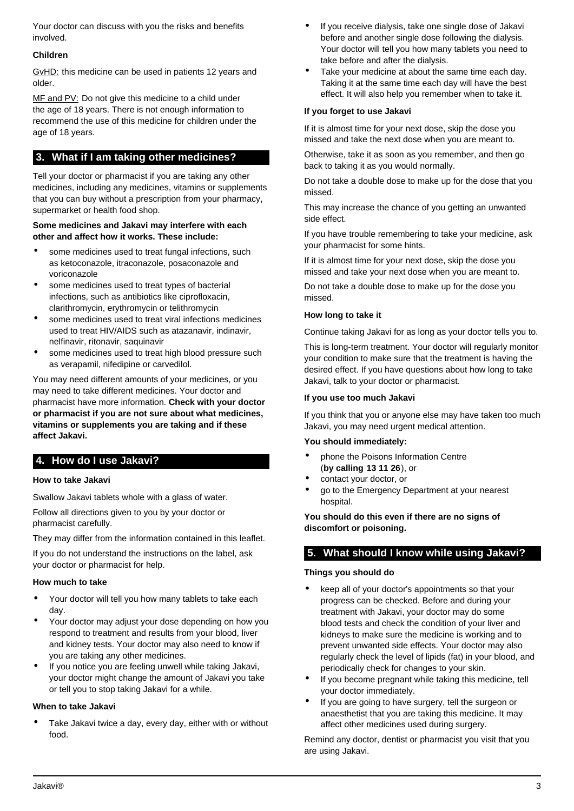Your doctor can discuss with you the risks and benefits involved.

#### **Children**

GvHD: this medicine can be used in patients 12 years and older.

MF and PV: Do not give this medicine to a child under the age of 18 years. There is not enough information to recommend the use of this medicine for children under the age of 18 years.

## <span id="page-2-0"></span>**3. What if I am taking other medicines?**

Tell your doctor or pharmacist if you are taking any other medicines, including any medicines, vitamins or supplements that you can buy without a prescription from your pharmacy, supermarket or health food shop.

#### **Some medicines and Jakavi may interfere with each other and affect how it works. These include:**

- some medicines used to treat fungal infections, such as ketoconazole, itraconazole, posaconazole and voriconazole
- some medicines used to treat types of bacterial infections, such as antibiotics like ciprofloxacin, clarithromycin, erythromycin or telithromycin
- some medicines used to treat viral infections medicines used to treat HIV/AIDS such as atazanavir, indinavir, nelfinavir, ritonavir, saquinavir
- some medicines used to treat high blood pressure such as verapamil, nifedipine or carvedilol.

You may need different amounts of your medicines, or you may need to take different medicines. Your doctor and pharmacist have more information. **Check with your doctor or pharmacist if you are not sure about what medicines, vitamins or supplements you are taking and if these affect Jakavi.**

## <span id="page-2-1"></span>**4. How do I use Jakavi?**

#### **How to take Jakavi**

Swallow Jakavi tablets whole with a glass of water.

Follow all directions given to you by your doctor or pharmacist carefully.

They may differ from the information contained in this leaflet.

If you do not understand the instructions on the label, ask your doctor or pharmacist for help.

#### **How much to take**

- Your doctor will tell you how many tablets to take each day.
- Your doctor may adjust your dose depending on how you respond to treatment and results from your blood, liver and kidney tests. Your doctor may also need to know if you are taking any other medicines.
- If you notice you are feeling unwell while taking Jakavi, your doctor might change the amount of Jakavi you take or tell you to stop taking Jakavi for a while.

#### **When to take Jakavi**

Take Jakavi twice a day, every day, either with or without food.

- If you receive dialysis, take one single dose of Jakavi before and another single dose following the dialysis. Your doctor will tell you how many tablets you need to take before and after the dialysis.
- Take your medicine at about the same time each day. Taking it at the same time each day will have the best effect. It will also help you remember when to take it.

#### **If you forget to use Jakavi**

If it is almost time for your next dose, skip the dose you missed and take the next dose when you are meant to.

Otherwise, take it as soon as you remember, and then go back to taking it as you would normally.

Do not take a double dose to make up for the dose that you missed.

This may increase the chance of you getting an unwanted side effect.

If you have trouble remembering to take your medicine, ask your pharmacist for some hints.

If it is almost time for your next dose, skip the dose you missed and take your next dose when you are meant to.

Do not take a double dose to make up for the dose you missed.

#### **How long to take it**

Continue taking Jakavi for as long as your doctor tells you to.

This is long-term treatment. Your doctor will regularly monitor your condition to make sure that the treatment is having the desired effect. If you have questions about how long to take Jakavi, talk to your doctor or pharmacist.

#### **If you use too much Jakavi**

If you think that you or anyone else may have taken too much Jakavi, you may need urgent medical attention.

#### **You should immediately:**

- phone the Poisons Information Centre (**by calling 13 11 26**), or
- contact your doctor, or
- go to the Emergency Department at your nearest hospital.

**You should do this even if there are no signs of discomfort or poisoning.**

## <span id="page-2-2"></span>**5. What should I know while using Jakavi?**

#### **Things you should do**

- keep all of your doctor's appointments so that your progress can be checked. Before and during your treatment with Jakavi, your doctor may do some blood tests and check the condition of your liver and kidneys to make sure the medicine is working and to prevent unwanted side effects. Your doctor may also regularly check the level of lipids (fat) in your blood, and periodically check for changes to your skin.
- If you become pregnant while taking this medicine, tell your doctor immediately.
- If you are going to have surgery, tell the surgeon or anaesthetist that you are taking this medicine. It may affect other medicines used during surgery.

Remind any doctor, dentist or pharmacist you visit that you are using Jakavi.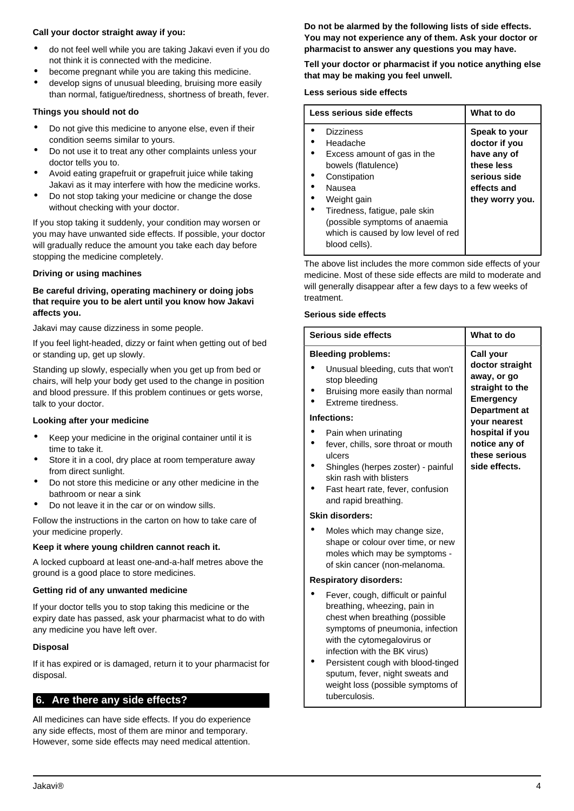#### **Call your doctor straight away if you:**

- do not feel well while you are taking Jakavi even if you do not think it is connected with the medicine.
- become pregnant while you are taking this medicine.
- develop signs of unusual bleeding, bruising more easily than normal, fatigue/tiredness, shortness of breath, fever.

#### **Things you should not do**

- Do not give this medicine to anyone else, even if their condition seems similar to yours.
- Do not use it to treat any other complaints unless your doctor tells you to.
- Avoid eating grapefruit or grapefruit juice while taking Jakavi as it may interfere with how the medicine works.
- Do not stop taking your medicine or change the dose without checking with your doctor.

If you stop taking it suddenly, your condition may worsen or you may have unwanted side effects. If possible, your doctor will gradually reduce the amount you take each day before stopping the medicine completely.

#### **Driving or using machines**

#### **Be careful driving, operating machinery or doing jobs that require you to be alert until you know how Jakavi affects you.**

Jakavi may cause dizziness in some people.

If you feel light-headed, dizzy or faint when getting out of bed or standing up, get up slowly.

Standing up slowly, especially when you get up from bed or chairs, will help your body get used to the change in position and blood pressure. If this problem continues or gets worse, talk to your doctor.

#### **Looking after your medicine**

- Keep your medicine in the original container until it is time to take it.
- Store it in a cool, dry place at room temperature away from direct sunlight.
- Do not store this medicine or any other medicine in the bathroom or near a sink
- Do not leave it in the car or on window sills.

Follow the instructions in the carton on how to take care of your medicine properly.

#### **Keep it where young children cannot reach it.**

A locked cupboard at least one-and-a-half metres above the ground is a good place to store medicines.

#### <span id="page-3-0"></span>**Getting rid of any unwanted medicine**

If your doctor tells you to stop taking this medicine or the expiry date has passed, ask your pharmacist what to do with any medicine you have left over.

#### **Disposal**

If it has expired or is damaged, return it to your pharmacist for disposal.

## **6. Are there any side effects?**

All medicines can have side effects. If you do experience any side effects, most of them are minor and temporary. However, some side effects may need medical attention.

**Do not be alarmed by the following lists of side effects. You may not experience any of them. Ask your doctor or pharmacist to answer any questions you may have.**

**Tell your doctor or pharmacist if you notice anything else that may be making you feel unwell.**

#### **Less serious side effects**

| Less serious side effects                          | What to do                |
|----------------------------------------------------|---------------------------|
| <b>Dizziness</b>                                   | Speak to your             |
| Headache                                           | doctor if you             |
| Excess amount of gas in the<br>bowels (flatulence) | have any of<br>these less |
| Constipation                                       | serious side              |
| Nausea                                             | effects and               |
| Weight gain                                        | they worry you.           |
| Tiredness, fatigue, pale skin                      |                           |
| (possible symptoms of anaemia                      |                           |
| which is caused by low level of red                |                           |
| blood cells).                                      |                           |

The above list includes the more common side effects of your medicine. Most of these side effects are mild to moderate and will generally disappear after a few days to a few weeks of treatment.

#### **Serious side effects**

| Serious side effects                                                                                                                                                                                                                                                                                                                   | What to do                                                                                    |
|----------------------------------------------------------------------------------------------------------------------------------------------------------------------------------------------------------------------------------------------------------------------------------------------------------------------------------------|-----------------------------------------------------------------------------------------------|
| <b>Bleeding problems:</b>                                                                                                                                                                                                                                                                                                              | Call your                                                                                     |
| Unusual bleeding, cuts that won't<br>stop bleeding<br>Bruising more easily than normal<br>Extreme tiredness.                                                                                                                                                                                                                           | doctor straight<br>away, or go<br>straight to the<br><b>Emergency</b><br><b>Department at</b> |
| Infections:                                                                                                                                                                                                                                                                                                                            | your nearest                                                                                  |
| Pain when urinating<br>fever, chills, sore throat or mouth<br>ulcers<br>Shingles (herpes zoster) - painful<br>skin rash with blisters<br>Fast heart rate, fever, confusion<br>and rapid breathing.                                                                                                                                     | hospital if you<br>notice any of<br>these serious<br>side effects.                            |
| Skin disorders:                                                                                                                                                                                                                                                                                                                        |                                                                                               |
| Moles which may change size,<br>shape or colour over time, or new<br>moles which may be symptoms -<br>of skin cancer (non-melanoma.                                                                                                                                                                                                    |                                                                                               |
| <b>Respiratory disorders:</b>                                                                                                                                                                                                                                                                                                          |                                                                                               |
| Fever, cough, difficult or painful<br>breathing, wheezing, pain in<br>chest when breathing (possible<br>symptoms of pneumonia, infection<br>with the cytomegalovirus or<br>infection with the BK virus)<br>Persistent cough with blood-tinged<br>sputum, fever, night sweats and<br>weight loss (possible symptoms of<br>tuberculosis. |                                                                                               |